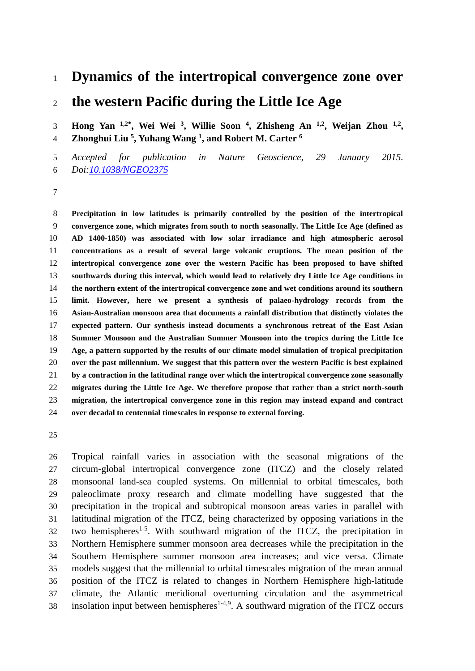# **Dynamics of the intertropical convergence zone over**

## **the western Pacific during the Little Ice Age**

**Hong Yan 1,2\*, Wei Wei <sup>3</sup> , Willie Soon <sup>4</sup> , Zhisheng An 1,2, Weijan Zhou 1,2 , Zhonghui Liu <sup>5</sup> , Yuhang Wang <sup>1</sup> , and Robert M. Carter <sup>6</sup>**

 *Accepted for publication in Nature Geoscience, 29 January 2015. Doi[:10.1038/NGEO2375](https://dx.doi.org/10.1038/NGEO2375)*

 **Precipitation in low latitudes is primarily controlled by the position of the intertropical convergence zone, which migrates from south to north seasonally. The Little Ice Age (defined as AD 1400-1850) was associated with low solar irradiance and high atmospheric aerosol concentrations as a result of several large volcanic eruptions. The mean position of the intertropical convergence zone over the western Pacific has been proposed to have shifted southwards during this interval, which would lead to relatively dry Little Ice Age conditions in the northern extent of the intertropical convergence zone and wet conditions around its southern limit. However, here we present a synthesis of palaeo-hydrology records from the Asian-Australian monsoon area that documents a rainfall distribution that distinctly violates the expected pattern. Our synthesis instead documents a synchronous retreat of the East Asian Summer Monsoon and the Australian Summer Monsoon into the tropics during the Little Ice Age, a pattern supported by the results of our climate model simulation of tropical precipitation over the past millennium. We suggest that this pattern over the western Pacific is best explained by a contraction in the latitudinal range over which the intertropical convergence zone seasonally migrates during the Little Ice Age. We therefore propose that rather than a strict north-south migration, the intertropical convergence zone in this region may instead expand and contract over decadal to centennial timescales in response to external forcing.**

 Tropical rainfall varies in association with the seasonal migrations of the circum-global intertropical convergence zone (ITCZ) and the closely related monsoonal land-sea coupled systems. On millennial to orbital timescales, both paleoclimate proxy research and climate modelling have suggested that the precipitation in the tropical and subtropical monsoon areas varies in parallel with latitudinal migration of the ITCZ, being characterized by opposing variations in the two hemispheres<sup>[1-5](#page-9-0)</sup>. With southward migration of the ITCZ, the precipitation in Northern Hemisphere summer monsoon area decreases while the precipitation in the Southern Hemisphere summer monsoon area increases; and vice versa. Climate models suggest that the millennial to orbital timescales migration of the mean annual position of the ITCZ is related to changes in Northern Hemisphere high-latitude climate, the Atlantic meridional overturning circulation and the asymmetrical 38 insolation input between hemispheres<sup>[1-4,](#page-9-0)[9](#page-10-0)</sup>. A southward migration of the ITCZ occurs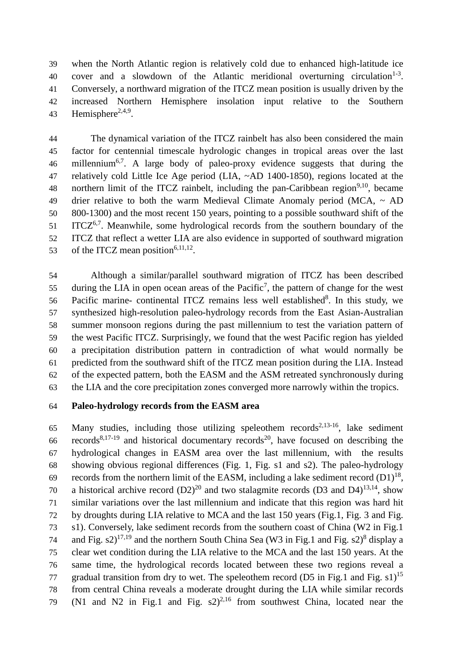when the North Atlantic region is relatively cold due to enhanced high-latitude ice 40 cover and a slowdown of the Atlantic meridional overturning circulation<sup>[1-3](#page-9-0)</sup>. Conversely, a northward migration of the ITCZ mean position is usually driven by the increased Northern Hemisphere insolation input relative to the Southern 43 Hemisphere<sup>[2,](#page-9-1)[4,](#page-9-2)[9](#page-10-0)</sup>.

 The dynamical variation of the ITCZ rainbelt has also been considered the main factor for centennial timescale hydrologic changes in tropical areas over the last [6](#page-9-3) millennium<sup>6[,7](#page-9-4)</sup>. A large body of paleo-proxy evidence suggests that during the relatively cold Little Ice Age period (LIA, ~AD 1400-1850), regions located at the 48 northern limit of the ITCZ rainbelt, including the pan-Caribbean region<sup>[9](#page-10-0)[,10](#page-10-1)</sup>, became 49 drier relative to both the warm Medieval Climate Anomaly period (MCA,  $\sim$  AD 800-1300) and the most recent 150 years, pointing to a possible southward shift of the ITCZ<sup>[6,](#page-9-3)[7](#page-9-4)</sup>. Meanwhile, some hydrological records from the southern boundary of the ITCZ that reflect a wetter LIA are also evidence in supported of southward migration 53 of the ITCZ mean position<sup>[6](#page-9-3)[,11,](#page-10-2)[12](#page-10-3)</sup>.

 Although a similar/parallel southward migration of ITCZ has been described 55 during the LIA in open o[c](#page-9-4)ean areas of the Pacific<sup>7</sup>, the pattern of change for the west 56 Pacific marine- continental ITCZ remains less well established<sup>[8](#page-10-4)</sup>. In this study, we synthesized high-resolution paleo-hydrology records from the East Asian-Australian summer monsoon regions during the past millennium to test the variation pattern of the west Pacific ITCZ. Surprisingly, we found that the west Pacific region has yielded a precipitation distribution pattern in contradiction of what would normally be predicted from the southward shift of the ITCZ mean position during the LIA. Instead of the expected pattern, both the EASM and the ASM retreated synchronously during the LIA and the core precipitation zones converged more narrowly within the tropics.

### **Paleo-hydrology records from the EASM area**

65 Many studies, including those utilizing speleothem records<sup>[2,](#page-9-1)[13-16](#page-10-5)</sup>, lake sediment records<sup>[8](#page-10-4)[,17-19](#page-10-6)</sup> and historical documentary records<sup>[20](#page-10-7)</sup>, have focused on describing the hydrological changes in EASM area over the last millennium, with the results showing obvious regional differences (Fig. 1, Fig. s1 and s2). The paleo-hydrology records from the northern limit of the EASM, including a lake sediment record  $(D1)^{18}$  $(D1)^{18}$  $(D1)^{18}$ , 70 a historical archive record  $(D2)^{20}$  $(D2)^{20}$  $(D2)^{20}$  and two stalagmite records  $(D3 \text{ and } D4)^{13,14}$  $(D3 \text{ and } D4)^{13,14}$  $(D3 \text{ and } D4)^{13,14}$  $(D3 \text{ and } D4)^{13,14}$ , show similar variations over the last millennium and indicate that this region was hard hit by droughts during LIA relative to MCA and the last 150 years (Fig.1, Fig. 3 and Fig. s1). Conversely, lake sediment records from the southern coast of China (W2 in Fig.1 74 and Fig.  $s2$ <sup>[17](#page-10-6)[,19](#page-10-10)</sup> and the northern South China Sea (W3 in Fig.1 and Fig.  $s2$ )<sup>[8](#page-10-4)</sup> display a clear wet condition during the LIA relative to the MCA and the last 150 years. At the same time, the hydrological records located between these two regions reveal a 77 gradual transition from dry to wet. The speleothem record (D5 in Fig.1 and Fig.  $s1$ )<sup>[15](#page-10-11)</sup> from central China reveals a moderate drought during the LIA while similar records 79 (N1 and N2 in Fig.1 and Fig.  $s2)^{2,16}$  $s2)^{2,16}$  $s2)^{2,16}$  $s2)^{2,16}$  from southwest China, located near the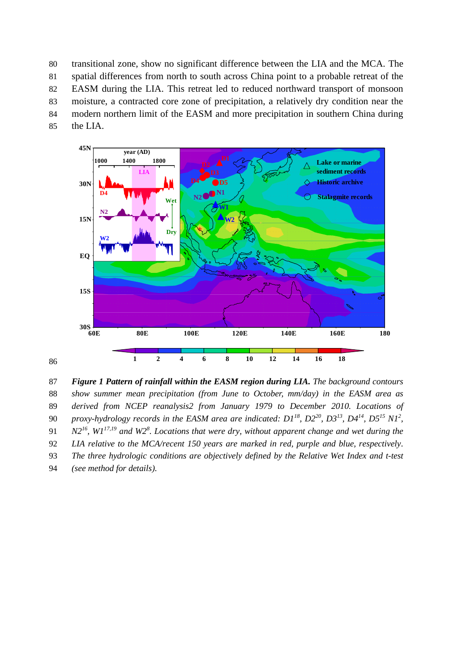transitional zone, show no significant difference between the LIA and the MCA. The spatial differences from north to south across China point to a probable retreat of the EASM during the LIA. This retreat led to reduced northward transport of monsoon moisture, a contracted core zone of precipitation, a relatively dry condition near the modern northern limit of the EASM and more precipitation in southern China during the LIA.



87 *Figure 1 Pattern of rainfall within the EASM region during LIA. The background contours*  88 *show summer mean precipitation (from June to October, mm/day) in the EASM area as*  89 *derived from NCEP reanalysis2 from January 1979 to December 2010. Locations of proxy-hydrology records in the EASM area are indicated: D1[18](#page-10-8), D2[20](#page-10-7), D3[13](#page-10-5), D4[14](#page-10-9), D5[15](#page-10-11) N[1](#page-9-1)<sup>2</sup>* 90 *, N2[16](#page-10-12), W1[17,](#page-10-6)[19](#page-10-10) and W2<sup>8</sup>* 91 *[.](#page-10-4) Locations that were dry, without apparent change and wet during the*  92 *LIA relative to the MCA/recent 150 years are marked in red, purple and blue, respectively.* 93 *The three hydrologic conditions are objectively defined by the Relative Wet Index and t-test* 94 *(see method for details).*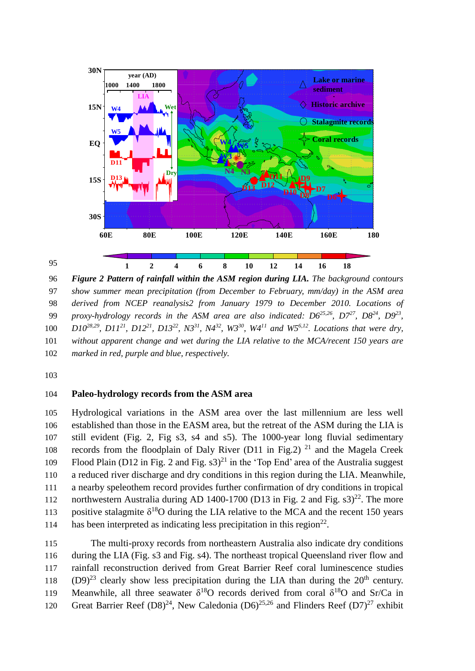

96 *Figure 2 Pattern of rainfall within the ASM region during LIA. The background contours*  97 *show summer mean precipitation (from December to February, mm/day) in the ASM area*  98 *derived from NCEP reanalysis2 from January 1979 to December 2010. Locations of*  99 *proxy-hydrology records in the ASM area are also indicated:*  $D6^{25,26}$  $D6^{25,26}$  $D6^{25,26}$  $D6^{25,26}$ *,*  $D7^{27}$  $D7^{27}$  $D7^{27}$ *,*  $D8^{24}$  $D8^{24}$  $D8^{24}$ *,*  $D9^{23}$  $D9^{23}$  $D9^{23}$ *,* 100  $D10^{28,29}$  $D10^{28,29}$  $D10^{28,29}$  $D10^{28,29}$ ,  $D11^{21}$  $D11^{21}$  $D11^{21}$ ,  $D12^{21}$  $D12^{21}$  $D12^{21}$ ,  $D13^{22}$  $D13^{22}$  $D13^{22}$ ,  $N3^{31}$  $N3^{31}$  $N3^{31}$ ,  $N4^{32}$  $N4^{32}$  $N4^{32}$ ,  $W3^{30}$  $W3^{30}$  $W3^{30}$ ,  $W4^{11}$  $W4^{11}$  $W4^{11}$  and  $W5^{6,12}$  $W5^{6,12}$  $W5^{6,12}$ . Locations that were dry, 101 *without apparent change and wet during the LIA relative to the MCA/recent 150 years are*  102 *marked in red, purple and blue, respectively.*

103

95

### 104 **Paleo-hydrology records from the ASM area**

105 Hydrological variations in the ASM area over the last millennium are less well 106 established than those in the EASM area, but the retreat of the ASM during the LIA is 107 still evident (Fig. 2, Fig s3, s4 and s5). The 1000-year long fluvial sedimentary 108 records from the floodplain of Daly River (D11 in Fig.2)<sup>[21](#page-10-16)</sup> and the Magela Creek 109 Flood Plain (D12 in Fig. 2 and Fig.  $s3)^{21}$  $s3)^{21}$  $s3)^{21}$  in the 'Top End' area of the Australia suggest 110 a reduced river discharge and dry conditions in this region during the LIA. Meanwhile, 111 a nearby speleothem record provides further confirmation of dry conditions in tropical 112 northwestern Australia during AD 1400-1700 (D13 in Fig. 2 and Fig.  $\text{s}3)^{22}$  $\text{s}3)^{22}$  $\text{s}3)^{22}$ . The more 113 positive stalagmite  $\delta^{18}$ O during the LIA relative to the MCA and the recent 150 years has been interpreted as indicating less precipitation in this region<sup>[22](#page-10-17)</sup>.

 The multi-proxy records from northeastern Australia also indicate dry conditions during the LIA (Fig. s3 and Fig. s4). The northeast tropical Queensland river flow and rainfall reconstruction derived from Great Barrier Reef coral luminescence studies  $(D9)^{23}$  $(D9)^{23}$  $(D9)^{23}$  clearly show less precipitation during the LIA than during the 20<sup>th</sup> century. 119 Meanwhile, all three seawater  $\delta^{18}O$  records derived from coral  $\delta^{18}O$  and Sr/Ca in 120 Great Barrier Reef  $(D8)^{24}$  $(D8)^{24}$  $(D8)^{24}$ , New Caledonia  $(D6)^{25,26}$  $(D6)^{25,26}$  $(D6)^{25,26}$  $(D6)^{25,26}$  and Flinders Reef  $(D7)^{27}$  $(D7)^{27}$  $(D7)^{27}$  exhibit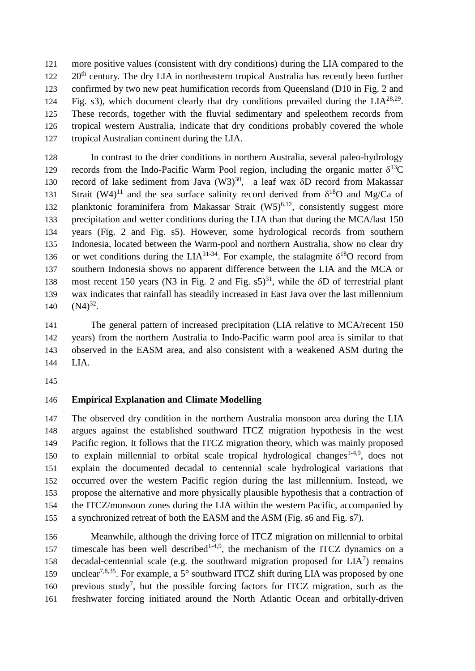more positive values (consistent with dry conditions) during the LIA compared to the  $20<sup>th</sup>$  century. The dry LIA in northeastern tropical Australia has recently been further confirmed by two new peat humification records from Queensland (D10 in Fig. 2 and 124 Fig. s3), which document clearly that dry conditions prevailed during the  $LIA^{28,29}$  $LIA^{28,29}$  $LIA^{28,29}$  $LIA^{28,29}$ . These records, together with the fluvial sedimentary and speleothem records from tropical western Australia, indicate that dry conditions probably covered the whole tropical Australian continent during the LIA.

 In contrast to the drier conditions in northern Australia, several paleo-hydrology records from the Indo-Pacific Warm Pool region, including the organic matter δ<sup>13</sup>C 1[30](#page-11-6) record of lake sediment from Java  $(W3)^{30}$ , a leaf wax  $\delta D$  record from Makassar 131 Strait (W4)<sup>[11](#page-10-2)</sup> and the sea surface salinity record derived from  $\delta^{18}O$  and Mg/Ca of 132 planktonic foraminifera from Makassar Strait  $(W5)^{6,12}$  $(W5)^{6,12}$  $(W5)^{6,12}$  $(W5)^{6,12}$ , consistently suggest more precipitation and wetter conditions during the LIA than that during the MCA/last 150 years (Fig. 2 and Fig. s5). However, some hydrological records from southern Indonesia, located between the Warm-pool and northern Australia, show no clear dry 136 or wet conditions during the LIA<sup>[31-34](#page-11-4)</sup>. For example, the stalagmite  $\delta^{18}O$  record from southern Indonesia shows no apparent difference between the LIA and the MCA or 138 most recent 150 years (N3 in Fig. 2 and Fig. s5)<sup>[31](#page-11-4)</sup>, while the δD of terrestrial plant wax indicates that rainfall has steadily increased in East Java over the last millennium 140  $(N4)^{32}$  $(N4)^{32}$  $(N4)^{32}$ .

 The general pattern of increased precipitation (LIA relative to MCA/recent 150 years) from the northern Australia to Indo-Pacific warm pool area is similar to that observed in the EASM area, and also consistent with a weakened ASM during the LIA.

## **Empirical Explanation and Climate Modelling**

 The observed dry condition in the northern Australia monsoon area during the LIA argues against the established southward ITCZ migration hypothesis in the west Pacific region. It follows that the ITCZ migration theory, which was mainly proposed 150 to explain millennial to orbital scale tropical hydrological changes<sup>[1-4](#page-9-0)[,9](#page-10-0)</sup>, does not explain the documented decadal to centennial scale hydrological variations that occurred over the western Pacific region during the last millennium. Instead, we propose the alternative and more physically plausible hypothesis that a contraction of the ITCZ/monsoon zones during the LIA within the western Pacific, accompanied by a synchronized retreat of both the EASM and the ASM (Fig. s6 and Fig. s7).

 Meanwhile, although the driving force of ITCZ migration on millennial to orbital 157 timescale has been well described<sup>[1-4,](#page-9-0)[9](#page-10-0)</sup>, the mechanism of the ITCZ dynamics on a 158 decadal-centennial scale (e.g. the southward migration proposed for  $LIA<sup>7</sup>$  $LIA<sup>7</sup>$  $LIA<sup>7</sup>$ ) remains 159 unclear<sup>[7](#page-9-4)[,8](#page-10-4)[,35](#page-11-7)</sup>. For example, a 5 $^{\circ}$  southward ITCZ shift during LIA was proposed by one 160 previous study<sup>[7](#page-9-4)</sup>, but the possible forcing factors for ITCZ migration, such as the freshwater forcing initiated around the North Atlantic Ocean and orbitally-driven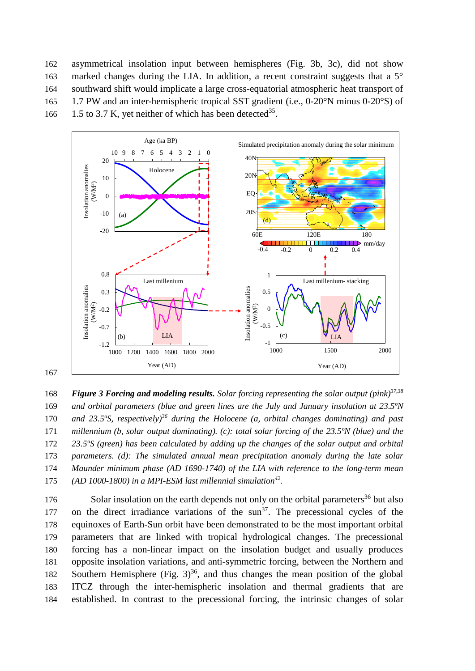asymmetrical insolation input between hemispheres (Fig. 3b, 3c), did not show marked changes during the LIA. In addition, a recent constraint suggests that a 5° southward shift would implicate a large cross-equatorial atmospheric heat transport of 1.7 PW and an inter-hemispheric tropical SST gradient (i.e., 0-20°N minus 0-20°S) of 166 1.5 to 3.7 K, yet neither of which has been detected<sup>[35](#page-11-7)</sup>.



167

*Figure 3 Forcing and modeling results. Solar forcing representing the solar output (pink)[37,](#page-11-8)[38](#page-11-9)* 168 169 *and orbital parameters (blue and green lines are the July and January insolation at 23.5ºN* 170 *and 23.5°S, respectively*<sup>[36](#page-11-10)</sup> during the *Holocene* (*a, orbital changes dominating*) and past 171 *millennium (b, solar output dominating). (c): total solar forcing of the 23.5ºN (blue) and the*  172 *23.5ºS (green) has been calculated by adding up the changes of the solar output and orbital*  173 *parameters. (d): The simulated annual mean precipitation anomaly during the late solar*  174 *Maunder minimum phase (AD 1690-1740) of the LIA with reference to the long-term mean* 175 *(AD 1000-1800) in a MPI-ESM last millennial simulation*<sup>[42](#page-11-11)</sup>.

 Solar insolation on the earth depends not only on the orbital parameters<sup>[36](#page-11-10)</sup> but also 177 on the direct irradiance variations of the sun $37$ . The precessional cycles of the equinoxes of Earth-Sun orbit have been demonstrated to be the most important orbital parameters that are linked with tropical hydrological changes. The precessional forcing has a non-linear impact on the insolation budget and usually produces opposite insolation variations, and anti-symmetric forcing, between the Northern and 182 Southern Hemisphere (Fig.  $3^{36}$  $3^{36}$  $3^{36}$ , and thus changes the mean position of the global ITCZ through the inter-hemispheric insolation and thermal gradients that are established. In contrast to the precessional forcing, the intrinsic changes of solar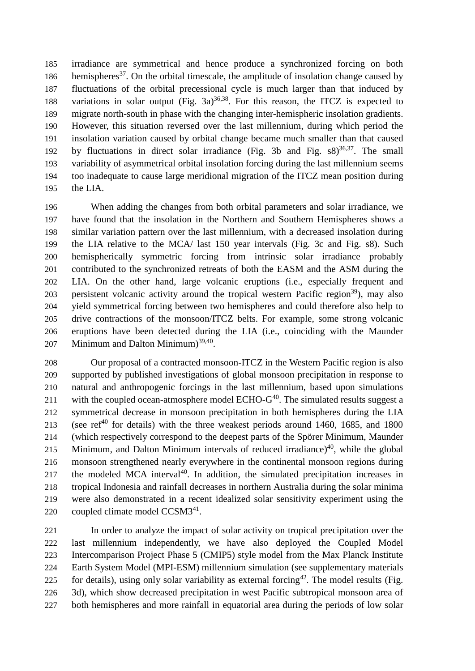irradiance are symmetrical and hence produce a synchronized forcing on both 186 hemispheres<sup>[37](#page-11-8)</sup>. On the orbital timescale, the amplitude of insolation change caused by fluctuations of the orbital precessional cycle is much larger than that induced by 188 variations in solar output (Fig.  $3a$ )<sup>[36](#page-11-10)[,38](#page-11-9)</sup>. For this reason, the ITCZ is expected to migrate north-south in phase with the changing inter-hemispheric insolation gradients. However, this situation reversed over the last millennium, during which period the insolation variation caused by orbital change became much smaller than that caused 192 by fluctuations in direct solar irradiance (Fig. 3b and Fig.  $s8$ )<sup>[36](#page-11-10)[,37](#page-11-8)</sup>. The small variability of asymmetrical orbital insolation forcing during the last millennium seems too inadequate to cause large meridional migration of the ITCZ mean position during the LIA.

 When adding the changes from both orbital parameters and solar irradiance, we have found that the insolation in the Northern and Southern Hemispheres shows a similar variation pattern over the last millennium, with a decreased insolation during the LIA relative to the MCA/ last 150 year intervals (Fig. 3c and Fig. s8). Such hemispherically symmetric forcing from intrinsic solar irradiance probably contributed to the synchronized retreats of both the EASM and the ASM during the LIA. On the other hand, large volcanic eruptions (i.e., especially frequent and 203 persistent volcanic activity around the tropical western Pacific region<sup>[39](#page-11-12)</sup>), may also yield symmetrical forcing between two hemispheres and could therefore also help to drive contractions of the monsoon/ITCZ belts. For example, some strong volcanic eruptions have been detected during the LIA (i.e., coinciding with the Maunder 207 Minimum and Dalton Minimum)<sup>[39,](#page-11-12)[40](#page-11-13)</sup>.

 Our proposal of a contracted monsoon-ITCZ in the Western Pacific region is also supported by published investigations of global monsoon precipitation in response to natural and anthropogenic forcings in the last millennium, based upon simulations 211 with the coupled ocean-atmosphere model  $ECHO-G^{40}$  $ECHO-G^{40}$  $ECHO-G^{40}$ . The simulated results suggest a symmetrical decrease in monsoon precipitation in both hemispheres during the LIA 213 (see ref<sup>[40](#page-11-13)</sup> for details) with the three weakest periods around 1460, 1685, and 1800 (which respectively correspond to the deepest parts of the [Spörer M](http://en.wikipedia.org/wiki/Sp%C3%B6rer_Minimum)inimum, Maunder 215 Minimum, and Dalton Minimum intervals of reduced irradiance)<sup>[40](#page-11-13)</sup>, while the global monsoon strengthened nearly everywhere in the continental monsoon regions during 217 the modeled MCA interval. In addition, the simulated precipitation increases in tropical Indonesia and rainfall decreases in northern Australia during the solar minima were also demonstrated in a recent idealized solar sensitivity experiment using the 220 coupled climate model  $CCSM3<sup>41</sup>$  $CCSM3<sup>41</sup>$  $CCSM3<sup>41</sup>$ .

 In order to analyze the impact of solar activity on tropical precipitation over the last millennium independently, we have also deployed the Coupled Model Intercomparison Project Phase 5 (CMIP5) style model from the Max Planck Institute Earth System Model (MPI-ESM) millennium simulation (see supplementary materials for details), using only solar variability as external forcing<sup>[42](#page-11-11)</sup>. The model results (Fig. 3d), which show decreased precipitation in west Pacific subtropical monsoon area of both hemispheres and more rainfall in equatorial area during the periods of low solar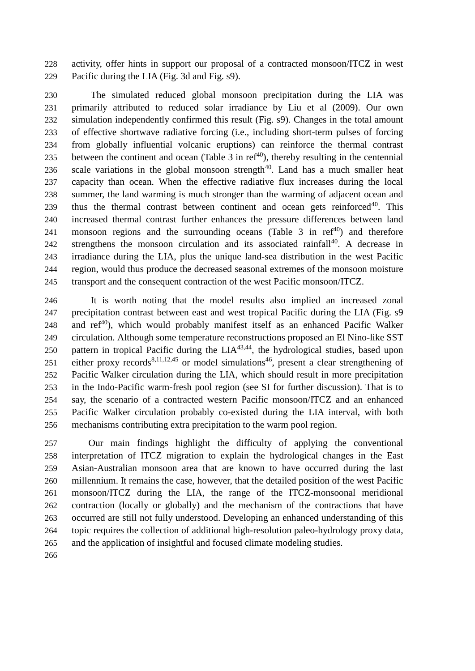activity, offer hints in support our proposal of a contracted monsoon/ITCZ in west Pacific during the LIA (Fig. 3d and Fig. s9).

 The simulated reduced global monsoon precipitation during the LIA was primarily attributed to reduced solar irradiance by Liu et al (2009). Our own simulation independently confirmed this result (Fig. s9). Changes in the total amount of effective shortwave radiative forcing (i.e., including short-term pulses of forcing from globally influential volcanic eruptions) can reinforce the thermal contrast 235 between the continent and ocean (Table 3 in ref<sup> $40$ </sup>), thereby resulting in the centennial 236 scale variations in the global monsoon strength. Land has a much smaller heat capacity than ocean. When the effective radiative flux increases during the local summer, the land warming is much stronger than the warming of adjacent ocean and 239 thus the thermal contrast between continent and ocean gets reinforced<sup>[40](#page-11-13)</sup>. This increased thermal contrast further enhances the pressure differences between land 241 monsoon regions and the surrounding oceans (Table in ref<sup>[40](#page-11-13)</sup>) and therefore strengthens the monsoon circulation and its associated rainfall<sup>[40](#page-11-13)</sup>. A decrease in irradiance during the LIA, plus the unique land-sea distribution in the west Pacific region, would thus produce the decreased seasonal extremes of the monsoon moisture transport and the consequent contraction of the west Pacific monsoon/ITCZ.

 It is worth noting that the model results also implied an increased zonal precipitation contrast between east and west tropical Pacific during the LIA (Fig. s9 248 and  $ref^{40}$  $ref^{40}$  $ref^{40}$ , which would probably manifest itself as an enhanced Pacific Walker circulation. Although some temperature reconstructions proposed an El Nino-like SST 250 pattern in tropical Pacific during the  $LIA<sup>43,44</sup>$  $LIA<sup>43,44</sup>$  $LIA<sup>43,44</sup>$  $LIA<sup>43,44</sup>$ , the hydrological studies, based upon 251 either proxy records<sup>[8,](#page-10-4)[11,](#page-10-2)[12,](#page-10-3)[45](#page-12-0)</sup> or model simulations<sup>[46](#page-12-1)</sup>, present a clear strengthening of Pacific Walker circulation during the LIA, which should result in more precipitation in the Indo-Pacific warm-fresh pool region (see SI for further discussion). That is to say, the scenario of a contracted western Pacific monsoon/ITCZ and an enhanced Pacific Walker circulation probably co-existed during the LIA interval, with both mechanisms contributing extra precipitation to the warm pool region.

 Our main findings highlight the difficulty of applying the conventional interpretation of ITCZ migration to explain the hydrological changes in the East Asian-Australian monsoon area that are known to have occurred during the last millennium. It remains the case, however, that the detailed position of the west Pacific monsoon/ITCZ during the LIA, the range of the ITCZ-monsoonal meridional contraction (locally or globally) and the mechanism of the contractions that have occurred are still not fully understood. Developing an enhanced understanding of this topic requires the collection of additional high-resolution paleo-hydrology proxy data, and the application of insightful and focused climate modeling studies.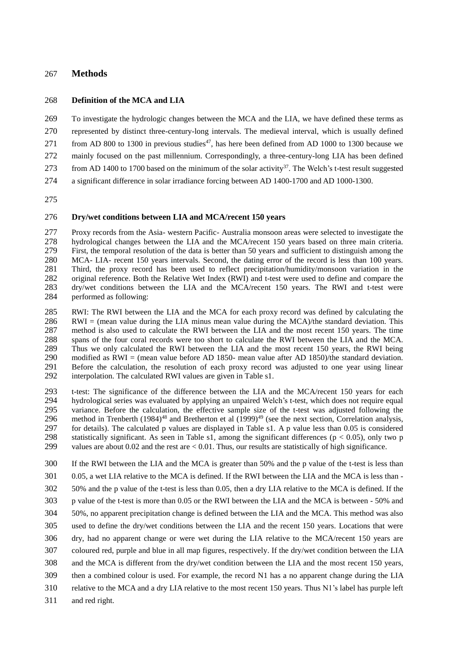#### **Methods**

#### **Definition of the MCA and LIA**

 To investigate the hydrologic changes between the MCA and the LIA, we have defined these terms as represented by distinct three-century-long intervals. The medieval interval, which is usually defined 271 from AD 800 to 1300 in previous studies<sup>[47](#page-12-2)</sup>, has here been defined from AD 1000 to 1300 because we mainly focused on the past millennium. Correspondingly, a three-century-long LIA has been defined

- 273 from AD 1400 to 1700 based on the minimum of the solar activity<sup>[37](#page-11-8)</sup>. The Welch's t-test result suggested
- a significant difference in solar irradiance forcing between AD 1400-1700 and AD 1000-1300.

#### **Dry/wet conditions between LIA and MCA/recent 150 years**

 Proxy records from the Asia- western Pacific- Australia monsoon areas were selected to investigate the hydrological changes between the LIA and the MCA/recent 150 years based on three main criteria. First, the temporal resolution of the data is better than 50 years and sufficient to distinguish among the MCA- LIA- recent 150 years intervals. Second, the dating error of the record is less than 100 years. Third, the proxy record has been used to reflect precipitation/humidity/monsoon variation in the original reference. Both the Relative Wet Index (RWI) and t-test were used to define and compare the dry/wet conditions between the LIA and the MCA/recent 150 years. The RWI and t-test were performed as following:

 RWI: The RWI between the LIA and the MCA for each proxy record was defined by calculating the 286 RWI = (mean value during the LIA minus mean value during the MCA)/the standard deviation. This method is also used to calculate the RWI between the LIA and the most recent 150 years. The time spans of the four coral records were too short to calculate the RWI between the LIA and the MCA. Thus we only calculated the RWI between the LIA and the most recent 150 years, the RWI being modified as RWI = (mean value before AD 1850- mean value after AD 1850)/the standard deviation. Before the calculation, the resolution of each proxy record was adjusted to one year using linear interpolation. The calculated RWI values are given in Table s1.

 t-test: The significance of the difference between the LIA and the MCA/recent 150 years for each hydrological series was evaluated by applying an unpaired Welch's t-test, which does not require equal variance. Before the calculation, the effective sample size of the t-test was adjusted following the 296 method in Trenberth  $(1984)^{48}$  $(1984)^{48}$  $(1984)^{48}$  and Bretherton et al  $(1999)^{49}$  $(1999)^{49}$  $(1999)^{49}$  (see the next section, Correlation analysis, for details). The calculated p values are displayed in Table s1. A p value less than 0.05 is considered 298 statistically significant. As seen in Table s1, among the significant differences ( $p < 0.05$ ), only two p values are about 0.02 and the rest are < 0.01. Thus, our results are statistically of high significance.

- If the RWI between the LIA and the MCA is greater than 50% and the p value of the t-test is less than 0.05, a wet LIA relative to the MCA is defined. If the RWI between the LIA and the MCA is less than - 50% and the p value of the t-test is less than 0.05, then a dry LIA relative to the MCA is defined. If the p value of the t-test is more than 0.05 or the RWI between the LIA and the MCA is between - 50% and 50%, no apparent precipitation change is defined between the LIA and the MCA. This method was also used to define the dry/wet conditions between the LIA and the recent 150 years. Locations that were dry, had no apparent change or were wet during the LIA relative to the MCA/recent 150 years are
- coloured red, purple and blue in all map figures, respectively. If the dry/wet condition between the LIA
- and the MCA is different from the dry/wet condition between the LIA and the most recent 150 years,
- then a combined colour is used. For example, the record N1 has a no apparent change during the LIA
- relative to the MCA and a dry LIA relative to the most recent 150 years. Thus N1's label has purple left
- and red right.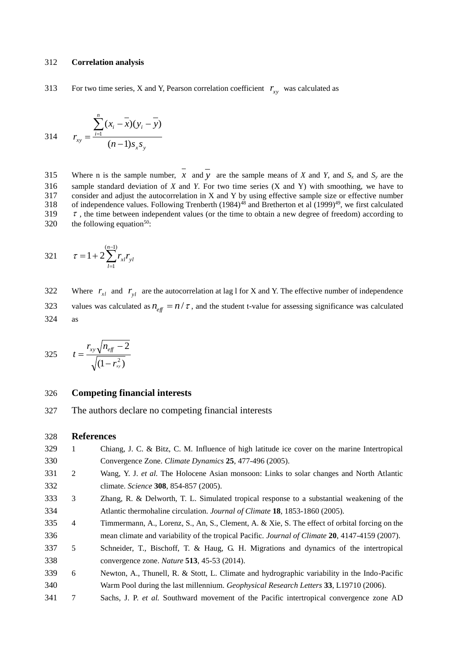#### 312 **Correlation analysis**

For two time series, X and Y, Pearson correlation coefficient  $r_{xy}$  was calculated as 313

314 
$$
r_{xy} = \frac{\sum_{i=1}^{n} (x_i - \overline{x})(y_i - \overline{y})}{(n-1)s_x s_y}
$$

315 Where n is the sample number, *x* and *y* are the sample means of *X* and *Y*, and *S<sub>x</sub>* and *S<sub>y</sub>* are the 316 sample standard deviation of *X* and *Y*. For two time series (*X* and *Y*) with smoothing, we have to consider and adjust the autocorrelation in *X* and *Y* by using effective sample size or effective number 317 consider and adjust the autocorrelation in X and Y by using effective sample size or effective number<br>318 of independence values. Following Trenberth  $(1984)^{48}$  and Bretherton et al  $(1999)^{49}$ , we first calculated of independence values. Following Trenberth (1984)<sup>[48](#page-12-3)</sup> and Bretherton et al  $(1999)^{49}$  $(1999)^{49}$  $(1999)^{49}$ , we first calculated 319  $\tau$ , the time between independent values (or the time to obtain a new degree of freedom) according to 320 the following equation<sup>[50](#page-12-5)</sup>:

321 
$$
\tau = 1 + 2 \sum_{l=1}^{(n-1)} r_{xl} r_{yl}
$$

Where  $r_{x}$  and  $r_{y}$  are the autocorrelation at lag 1 for X and Y. The effective number of independence 322 values was calculated as  $n_{\text{eff}} = n / \tau$ , and the student t-value for assessing significance was calculated 323 324 as

325 
$$
t = \frac{r_{xy}\sqrt{n_{eff} - 2}}{\sqrt{(1 - r_{xy}^2)}}
$$

#### 326 **Competing financial interests**

327 The authors declare no competing financial interests

#### 328 **References**

<span id="page-9-4"></span><span id="page-9-3"></span><span id="page-9-2"></span><span id="page-9-1"></span><span id="page-9-0"></span>

| 329 | 1              | Chiang, J. C. & Bitz, C. M. Influence of high latitude ice cover on the marine Intertropical   |
|-----|----------------|------------------------------------------------------------------------------------------------|
| 330 |                | Convergence Zone. Climate Dynamics 25, 477-496 (2005).                                         |
| 331 | 2              | Wang, Y. J. et al. The Holocene Asian monsoon: Links to solar changes and North Atlantic       |
| 332 |                | climate. <i>Science</i> <b>308</b> , 854-857 (2005).                                           |
| 333 | 3              | Zhang, R. & Delworth, T. L. Simulated tropical response to a substantial weakening of the      |
| 334 |                | Atlantic thermohaline circulation. Journal of Climate 18, 1853-1860 (2005).                    |
| 335 | $\overline{4}$ | Timmermann, A., Lorenz, S., An, S., Clement, A. & Xie, S. The effect of orbital forcing on the |
| 336 |                | mean climate and variability of the tropical Pacific. Journal of Climate 20, 4147-4159 (2007). |
| 337 | 5              | Schneider, T., Bischoff, T. & Haug, G. H. Migrations and dynamics of the intertropical         |
| 338 |                | convergence zone. <i>Nature</i> <b>513</b> , 45-53 (2014).                                     |
| 339 | 6              | Newton, A., Thunell, R. & Stott, L. Climate and hydrographic variability in the Indo-Pacific   |
| 340 |                | Warm Pool during the last millennium. Geophysical Research Letters 33, L19710 (2006).          |
| 341 | 7              | Sachs, J. P. et al. Southward movement of the Pacific intertropical convergence zone AD        |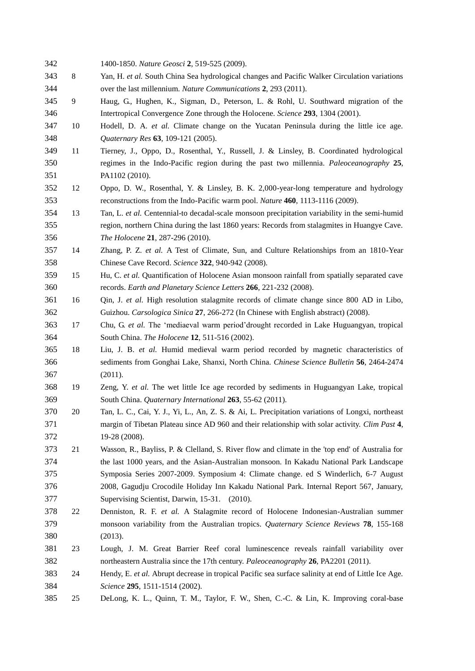<span id="page-10-17"></span><span id="page-10-16"></span><span id="page-10-15"></span><span id="page-10-14"></span><span id="page-10-13"></span><span id="page-10-12"></span><span id="page-10-11"></span><span id="page-10-10"></span><span id="page-10-9"></span><span id="page-10-8"></span><span id="page-10-7"></span><span id="page-10-6"></span><span id="page-10-5"></span><span id="page-10-4"></span><span id="page-10-3"></span><span id="page-10-2"></span><span id="page-10-1"></span><span id="page-10-0"></span>

| 342 |        | 1400-1850. Nature Geosci 2, 519-525 (2009).                                                         |
|-----|--------|-----------------------------------------------------------------------------------------------------|
| 343 | 8      | Yan, H. et al. South China Sea hydrological changes and Pacific Walker Circulation variations       |
| 344 |        | over the last millennium. Nature Communications 2, 293 (2011).                                      |
| 345 | 9      | Haug, G., Hughen, K., Sigman, D., Peterson, L. & Rohl, U. Southward migration of the                |
| 346 |        | Intertropical Convergence Zone through the Holocene. Science 293, 1304 (2001).                      |
| 347 | 10     | Hodell, D. A. et al. Climate change on the Yucatan Peninsula during the little ice age.             |
| 348 |        | Quaternary Res 63, 109-121 (2005).                                                                  |
| 349 | 11     | Tierney, J., Oppo, D., Rosenthal, Y., Russell, J. & Linsley, B. Coordinated hydrological            |
| 350 |        | regimes in the Indo-Pacific region during the past two millennia. Paleoceanography 25,              |
| 351 |        | PA1102 (2010).                                                                                      |
| 352 | 12     | Oppo, D. W., Rosenthal, Y. & Linsley, B. K. 2,000-year-long temperature and hydrology               |
| 353 |        | reconstructions from the Indo-Pacific warm pool. Nature 460, 1113-1116 (2009).                      |
| 354 | 13     | Tan, L. et al. Centennial-to decadal-scale monsoon precipitation variability in the semi-humid      |
| 355 |        | region, northern China during the last 1860 years: Records from stalagmites in Huangye Cave.        |
| 356 |        | The Holocene 21, 287-296 (2010).                                                                    |
| 357 | 14     | Zhang, P. Z. et al. A Test of Climate, Sun, and Culture Relationships from an 1810-Year             |
| 358 |        | Chinese Cave Record. Science 322, 940-942 (2008).                                                   |
| 359 | 15     | Hu, C. et al. Quantification of Holocene Asian monsoon rainfall from spatially separated cave       |
| 360 |        | records. Earth and Planetary Science Letters 266, 221-232 (2008).                                   |
| 361 | 16     | Qin, J. et al. High resolution stalagmite records of climate change since 800 AD in Libo,           |
| 362 |        | Guizhou. Carsologica Sinica 27, 266-272 (In Chinese with English abstract) (2008).                  |
| 363 | 17     | Chu, G. et al. The 'mediaeval warm period'drought recorded in Lake Huguangyan, tropical             |
| 364 |        | South China. The Holocene 12, 511-516 (2002).                                                       |
| 365 | 18     | Liu, J. B. et al. Humid medieval warm period recorded by magnetic characteristics of                |
| 366 |        | sediments from Gonghai Lake, Shanxi, North China. Chinese Science Bulletin 56, 2464-2474            |
| 367 |        | (2011).                                                                                             |
| 368 | 19     | Zeng, Y. et al. The wet little Ice age recorded by sediments in Huguangyan Lake, tropical           |
| 369 |        | South China. Quaternary International 263, 55-62 (2011).                                            |
| 370 | 20     | Tan, L. C., Cai, Y. J., Yi, L., An, Z. S. & Ai, L. Precipitation variations of Longxi, northeast    |
| 371 |        | margin of Tibetan Plateau since AD 960 and their relationship with solar activity. Clim Past 4,     |
| 372 |        | 19-28 (2008).                                                                                       |
| 373 | 21     | Wasson, R., Bayliss, P. & Clelland, S. River flow and climate in the 'top end' of Australia for     |
| 374 |        | the last 1000 years, and the Asian-Australian monsoon. In Kakadu National Park Landscape            |
| 375 |        | Symposia Series 2007-2009. Symposium 4: Climate change. ed S Winderlich, 6-7 August                 |
| 376 |        | 2008, Gagudju Crocodile Holiday Inn Kakadu National Park. Internal Report 567, January,             |
| 377 |        | Supervising Scientist, Darwin, 15-31. (2010).                                                       |
| 378 | $22\,$ | Denniston, R. F. et al. A Stalagmite record of Holocene Indonesian-Australian summer                |
| 379 |        | monsoon variability from the Australian tropics. Quaternary Science Reviews 78, 155-168             |
| 380 |        | (2013).                                                                                             |
| 381 | 23     | Lough, J. M. Great Barrier Reef coral luminescence reveals rainfall variability over                |
| 382 |        | northeastern Australia since the 17th century. Paleoceanography 26, PA2201 (2011).                  |
| 383 | 24     | Hendy, E. et al. Abrupt decrease in tropical Pacific sea surface salinity at end of Little Ice Age. |
| 384 |        | Science 295, 1511-1514 (2002).                                                                      |
| 385 | 25     | DeLong, K. L., Quinn, T. M., Taylor, F. W., Shen, C.-C. & Lin, K. Improving coral-base              |
|     |        |                                                                                                     |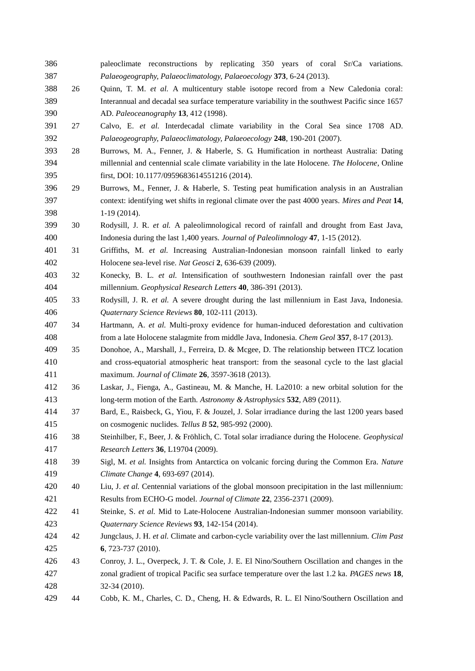<span id="page-11-16"></span><span id="page-11-15"></span><span id="page-11-14"></span><span id="page-11-13"></span><span id="page-11-12"></span><span id="page-11-11"></span><span id="page-11-10"></span><span id="page-11-9"></span><span id="page-11-8"></span><span id="page-11-7"></span><span id="page-11-6"></span><span id="page-11-5"></span><span id="page-11-4"></span><span id="page-11-3"></span><span id="page-11-2"></span><span id="page-11-1"></span><span id="page-11-0"></span> paleoclimate reconstructions by replicating 350 years of coral Sr/Ca variations. *Palaeogeography, Palaeoclimatology, Palaeoecology* **373**, 6-24 (2013). 26 Quinn, T. M. *et al.* A multicentury stable isotope record from a New Caledonia coral: Interannual and decadal sea surface temperature variability in the southwest Pacific since 1657 AD. *Paleoceanography* **13**, 412 (1998). 27 Calvo, E. *et al.* Interdecadal climate variability in the Coral Sea since 1708 AD. *Palaeogeography, Palaeoclimatology, Palaeoecology* **248**, 190-201 (2007). 28 Burrows, M. A., Fenner, J. & Haberle, S. G. Humification in northeast Australia: Dating millennial and centennial scale climate variability in the late Holocene. *The Holocene*, Online first, DOI: 10.1177/0959683614551216 (2014). 29 Burrows, M., Fenner, J. & Haberle, S. Testing peat humification analysis in an Australian context: identifying wet shifts in regional climate over the past 4000 years. *Mires and Peat* **14**, 1-19 (2014). 30 Rodysill, J. R. *et al.* A paleolimnological record of rainfall and drought from East Java, Indonesia during the last 1,400 years. *Journal of Paleolimnology* **47**, 1-15 (2012). 31 Griffiths, M. *et al.* Increasing Australian-Indonesian monsoon rainfall linked to early Holocene sea-level rise. *Nat Geosci* **2**, 636-639 (2009). 32 Konecky, B. L. *et al.* Intensification of southwestern Indonesian rainfall over the past millennium. *Geophysical Research Letters* **40**, 386-391 (2013). 33 Rodysill, J. R. *et al.* A severe drought during the last millennium in East Java, Indonesia. *Quaternary Science Reviews* **80**, 102-111 (2013). 34 Hartmann, A. *et al.* Multi-proxy evidence for human-induced deforestation and cultivation from a late Holocene stalagmite from middle Java, Indonesia. *Chem Geol* **357**, 8-17 (2013). 35 Donohoe, A., Marshall, J., Ferreira, D. & Mcgee, D. The relationship between ITCZ location and cross-equatorial atmospheric heat transport: from the seasonal cycle to the last glacial maximum. *Journal of Climate* **26**, 3597-3618 (2013). 36 Laskar, J., Fienga, A., Gastineau, M. & Manche, H. La2010: a new orbital solution for the long-term motion of the Earth. *Astronomy & Astrophysics* **532**, A89 (2011). 37 Bard, E., Raisbeck, G., Yiou, F. & Jouzel, J. Solar irradiance during the last 1200 years based on cosmogenic nuclides. *Tellus B* **52**, 985-992 (2000). 38 Steinhilber, F., Beer, J. & Fröhlich, C. Total solar irradiance during the Holocene. *Geophysical Research Letters* **36**, L19704 (2009). 39 Sigl, M. *et al.* Insights from Antarctica on volcanic forcing during the Common Era. *Nature Climate Change* **4**, 693-697 (2014). 40 Liu, J. *et al.* Centennial variations of the global monsoon precipitation in the last millennium: Results from ECHO-G model. *Journal of Climate* **22**, 2356-2371 (2009). 41 Steinke, S. *et al.* Mid to Late-Holocene Australian-Indonesian summer monsoon variability. *Quaternary Science Reviews* **93**, 142-154 (2014). 42 Jungclaus, J. H. *et al.* Climate and carbon-cycle variability over the last millennium. *Clim Past* **6**, 723-737 (2010). 43 Conroy, J. L., Overpeck, J. T. & Cole, J. E. El Nino/Southern Oscillation and changes in the zonal gradient of tropical Pacific sea surface temperature over the last 1.2 ka. *PAGES news* **18**, 32-34 (2010). 44 Cobb, K. M., Charles, C. D., Cheng, H. & Edwards, R. L. El Nino/Southern Oscillation and